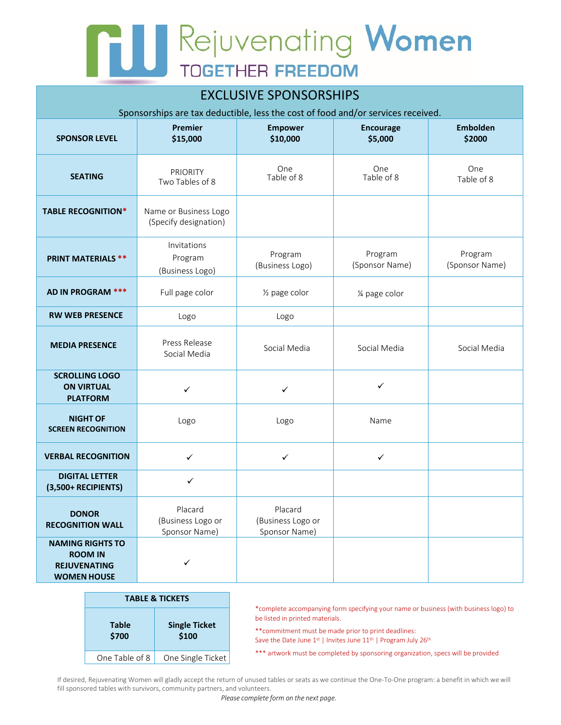## **TUU** Rejuvenating Women **TOGETHER FREEDOM**

## EXCLUSIVE SPONSORSHIPS

| Sponsorships are tax deductible, less the cost of food and/or services received.       |                                                |                                               |                             |                           |  |  |  |  |
|----------------------------------------------------------------------------------------|------------------------------------------------|-----------------------------------------------|-----------------------------|---------------------------|--|--|--|--|
| <b>SPONSOR LEVEL</b>                                                                   | <b>Premier</b><br>\$15,000                     | <b>Empower</b><br>\$10,000                    | <b>Encourage</b><br>\$5,000 | <b>Embolden</b><br>\$2000 |  |  |  |  |
| <b>SEATING</b>                                                                         | <b>PRIORITY</b><br>Two Tables of 8             | One<br>Table of 8                             | One<br>Table of 8           | One<br>Table of 8         |  |  |  |  |
| <b>TABLE RECOGNITION*</b>                                                              | Name or Business Logo<br>(Specify designation) |                                               |                             |                           |  |  |  |  |
| <b>PRINT MATERIALS **</b>                                                              | Invitations<br>Program<br>(Business Logo)      | Program<br>(Business Logo)                    | Program<br>(Sponsor Name)   | Program<br>(Sponsor Name) |  |  |  |  |
| <b>AD IN PROGRAM ***</b>                                                               | Full page color                                | 1/ <sub>2</sub> page color                    | 1⁄4 page color              |                           |  |  |  |  |
| <b>RW WEB PRESENCE</b>                                                                 | Logo                                           | Logo                                          |                             |                           |  |  |  |  |
| <b>MEDIA PRESENCE</b>                                                                  | Press Release<br>Social Media                  | Social Media                                  | Social Media                | Social Media              |  |  |  |  |
| <b>SCROLLING LOGO</b><br><b>ON VIRTUAL</b><br><b>PLATFORM</b>                          | $\checkmark$                                   | ✓                                             | ✓                           |                           |  |  |  |  |
| <b>NIGHT OF</b><br><b>SCREEN RECOGNITION</b>                                           | Logo                                           | Logo                                          | Name                        |                           |  |  |  |  |
| <b>VERBAL RECOGNITION</b>                                                              | $\checkmark$                                   | $\checkmark$                                  | $\checkmark$                |                           |  |  |  |  |
| <b>DIGITAL LETTER</b><br>(3,500+ RECIPIENTS)                                           | $\checkmark$                                   |                                               |                             |                           |  |  |  |  |
| <b>DONOR</b><br><b>RECOGNITION WALL</b>                                                | Placard<br>(Business Logo or<br>Sponsor Name)  | Placard<br>(Business Logo or<br>Sponsor Name) |                             |                           |  |  |  |  |
| <b>NAMING RIGHTS TO</b><br><b>ROOM IN</b><br><b>REJUVENATING</b><br><b>WOMEN HOUSE</b> | ✓                                              |                                               |                             |                           |  |  |  |  |

| <b>TABLE &amp; TICKETS</b> |                               |  |  |  |
|----------------------------|-------------------------------|--|--|--|
| Table<br>\$700             | <b>Single Ticket</b><br>\$100 |  |  |  |
| One Table of 8             | One Single Ticket             |  |  |  |

\*complete accompanying form specifying your name or business (with business logo) to be listed in printed materials.

\*\*commitment must be made prior to print deadlines: Save the Date June  $1^{st}$  | Invites June  $11^{th}$  | Program July  $26^{th}$ 

\*\*\* artwork must be completed by sponsoring organization, specs will be provided

If desired, Rejuvenating Women will gladly accept the return of unused tables or seats as we continue the One-To-One program: a benefit in which we will fill sponsored tables with survivors, community partners, and volunteers.